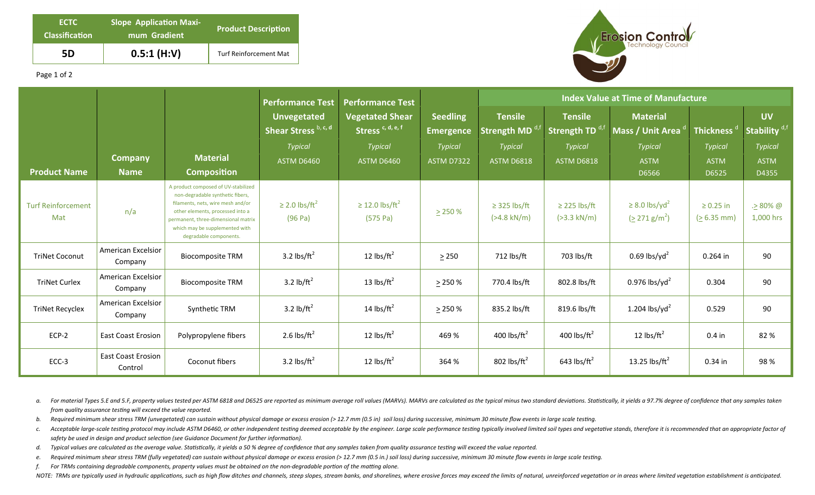| ECTC<br><b>Classification</b> | <b>Slope Application Maxi-</b><br>mum Gradient | <b>Product Description</b> |  |  |
|-------------------------------|------------------------------------------------|----------------------------|--|--|
| 5D                            | $0.5:1$ (H:V)                                  | Turf Reinforcement Mat     |  |  |



Page 1 of 2

|                                  |                                      |                                                                                                                                                                                                                                                     | <b>Performance Test</b>                    | <b>Performance Test</b>                                |                                     | <b>Index Value at Time of Manufacture</b>    |                                              |                                                          |                                 |                                       |
|----------------------------------|--------------------------------------|-----------------------------------------------------------------------------------------------------------------------------------------------------------------------------------------------------------------------------------------------------|--------------------------------------------|--------------------------------------------------------|-------------------------------------|----------------------------------------------|----------------------------------------------|----------------------------------------------------------|---------------------------------|---------------------------------------|
|                                  |                                      |                                                                                                                                                                                                                                                     | <b>Unvegetated</b><br>Shear Stress b, c, d | <b>Vegetated Shear</b><br>Stress <sup>c, d, e, f</sup> | <b>Seedling</b><br><b>Emergence</b> | <b>Tensile</b><br>Strength MD <sup>d,t</sup> | <b>Tensile</b><br>Strength TD <sup>d,t</sup> | <b>Material</b><br>Mass / Unit Area                      | Thickness $^\mathfrak{a}$       | <b>UV</b><br>Stability <sup>d,f</sup> |
|                                  |                                      |                                                                                                                                                                                                                                                     | <b>Typical</b>                             | <b>Typical</b>                                         | <b>Typical</b>                      | <b>Typical</b>                               | <b>Typical</b>                               | <b>Typical</b>                                           | <b>Typical</b>                  | Typical                               |
| <b>Product Name</b>              | <b>Company</b><br><b>Name</b>        | <b>Material</b><br><b>Composition</b>                                                                                                                                                                                                               | <b>ASTM D6460</b>                          | ASTM D6460                                             | <b>ASTM D7322</b>                   | <b>ASTM D6818</b>                            | <b>ASTM D6818</b>                            | <b>ASTM</b><br>D6566                                     | <b>ASTM</b><br>D6525            | <b>ASTM</b><br>D4355                  |
| <b>Turf Reinforcement</b><br>Mat | n/a                                  | A product composed of UV-stabilized<br>non-degradable synthetic fibers,<br>filaments, nets, wire mesh and/or<br>other elements, processed into a<br>permanent, three-dimensional matrix<br>which may be supplemented with<br>degradable components. | $\geq$ 2.0 lbs/ft <sup>2</sup><br>(96 Pa)  | $\geq$ 12.0 lbs/ft <sup>2</sup><br>(575 Pa)            | $\geq$ 250 %                        | $\geq$ 325 lbs/ft<br>$(>4.8$ kN/m)           | $\geq$ 225 lbs/ft<br>$( >3.3 \text{ kN/m})$  | $\geq$ 8.0 lbs/yd <sup>2</sup><br>$(2271 \text{ g/m}^2)$ | $\geq 0.25$ in<br>$(> 6.35$ mm) | $\geq 80\%$ @<br>1,000 hrs            |
| <b>TriNet Coconut</b>            | American Excelsior<br>Company        | <b>Biocomposite TRM</b>                                                                                                                                                                                                                             | 3.2 $\text{lbs/ft}^2$                      | 12 $\text{lbs/ft}^2$                                   | $\geq$ 250                          | 712 lbs/ft                                   | 703 lbs/ft                                   | $0.69$ lbs/yd <sup>2</sup>                               | $0.264$ in                      | 90                                    |
| <b>TriNet Curlex</b>             | American Excelsior<br>Company        | <b>Biocomposite TRM</b>                                                                                                                                                                                                                             | 3.2 $lb/ft^2$                              | 13 $\text{lbs/ft}^2$                                   | $\geq$ 250 %                        | 770.4 lbs/ft                                 | 802.8 lbs/ft                                 | 0.976 lbs/yd <sup>2</sup>                                | 0.304                           | 90                                    |
| <b>TriNet Recyclex</b>           | American Excelsior<br>Company        | Synthetic TRM                                                                                                                                                                                                                                       | 3.2 $\frac{1}{2}$                          | 14 $\text{lbs/ft}^2$                                   | $\geq$ 250 %                        | 835.2 lbs/ft                                 | 819.6 lbs/ft                                 | 1.204 lbs/yd <sup>2</sup>                                | 0.529                           | 90                                    |
| $ECP-2$                          | <b>East Coast Erosion</b>            | Polypropylene fibers                                                                                                                                                                                                                                | 2.6 lbs/ $ft^2$                            | 12 $\text{lbs/ft}^2$                                   | 469 %                               | 400 lbs/ $ft^2$                              | 400 lbs/ $ft^2$                              | 12 $\text{lbs/ft}^2$                                     | $0.4$ in                        | 82%                                   |
| $ECC-3$                          | <b>East Coast Erosion</b><br>Control | Coconut fibers                                                                                                                                                                                                                                      | 3.2 $\text{lbs/ft}^2$                      | 12 $\text{lbs/ft}^2$                                   | 364 %                               | 802 lbs/ $ft^2$                              | 643 lbs/ $ft^2$                              | 13.25 lbs/ $ft^2$                                        | 0.34 in                         | 98%                                   |

a. For material Types 5.E and 5.F, property values tested per ASTM 6818 and D6525 are reported as minimum average roll values (MARVs). MARVs are calculated as the typical minus two standard deviations. Statistically, it yi *from quality assurance testing will exceed the value reported.* 

b. Required minimum shear stress TRM (unvegetated) can sustain without physical damage or excess erosion (> 12.7 mm (0.5 in) soil loss) during successive, minimum 30 minute flow events in large scale testing.

- c. Acceptable large-scale testing protocol may include ASTM D6460, or other independent testing deemed acceptable by the engineer. Large scale performance testing typically involved limited soil types and vegetative stands safety be used in design and product selection (see Guidance Document for further information).
- d. Typical values are calculated as the average value. Statistically, it yields a 50 % degree of confidence that any samples taken from quality assurance testing will exceed the value reported.
- e. Required minimum shear stress TRM (fully vegetated) can sustain without physical damage or excess erosion (> 12.7 mm (0.5 in.) soil loss) during successive, minimum 30 minute flow events in large scale testing.
- *f.* For TRMs containing degradable components, property values must be obtained on the non-degradable portion of the matting alone.

NOTE: TRMs are typically used in hydraulic applications, such as high flow ditches and channels, steep slopes, stream banks, and shorelines, where erosive forces may exceed the limits of natural, unreinforced vegetation or